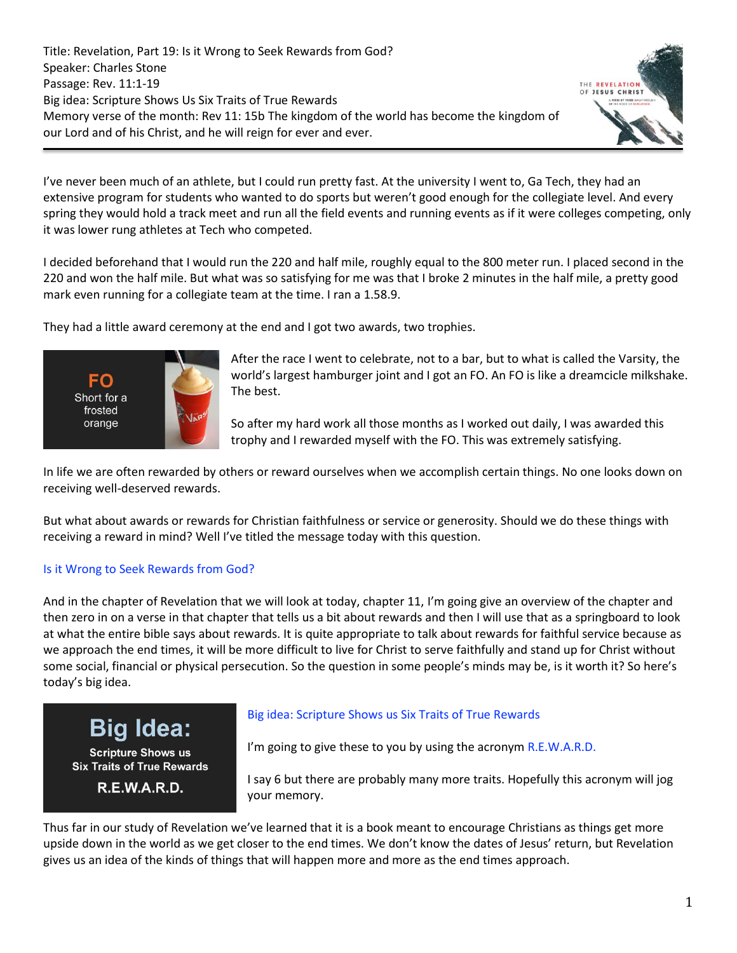Title: Revelation, Part 19: Is it Wrong to Seek Rewards from God? Speaker: Charles Stone Passage: Rev. 11:1-19 Big idea: Scripture Shows Us Six Traits of True Rewards Memory verse of the month: Rev 11: 15b The kingdom of the world has become the kingdom of our Lord and of his Christ, and he will reign for ever and ever.



I've never been much of an athlete, but I could run pretty fast. At the university I went to, Ga Tech, they had an extensive program for students who wanted to do sports but weren't good enough for the collegiate level. And every spring they would hold a track meet and run all the field events and running events as if it were colleges competing, only it was lower rung athletes at Tech who competed.

I decided beforehand that I would run the 220 and half mile, roughly equal to the 800 meter run. I placed second in the 220 and won the half mile. But what was so satisfying for me was that I broke 2 minutes in the half mile, a pretty good mark even running for a collegiate team at the time. I ran a 1.58.9.

They had a little award ceremony at the end and I got two awards, two trophies.



After the race I went to celebrate, not to a bar, but to what is called the Varsity, the world's largest hamburger joint and I got an FO. An FO is like a dreamcicle milkshake. The best.

So after my hard work all those months as I worked out daily, I was awarded this trophy and I rewarded myself with the FO. This was extremely satisfying.

In life we are often rewarded by others or reward ourselves when we accomplish certain things. No one looks down on receiving well-deserved rewards.

But what about awards or rewards for Christian faithfulness or service or generosity. Should we do these things with receiving a reward in mind? Well I've titled the message today with this question.

### Is it Wrong to Seek Rewards from God?

And in the chapter of Revelation that we will look at today, chapter 11, I'm going give an overview of the chapter and then zero in on a verse in that chapter that tells us a bit about rewards and then I will use that as a springboard to look at what the entire bible says about rewards. It is quite appropriate to talk about rewards for faithful service because as we approach the end times, it will be more difficult to live for Christ to serve faithfully and stand up for Christ without some social, financial or physical persecution. So the question in some people's minds may be, is it worth it? So here's today's big idea.

**Big Idea:** 

**Scripture Shows us Six Traits of True Rewards** 

**R.E.W.A.R.D.** 

### Big idea: Scripture Shows us Six Traits of True Rewards

I'm going to give these to you by using the acronym R.E.W.A.R.D.

I say 6 but there are probably many more traits. Hopefully this acronym will jog your memory.

Thus far in our study of Revelation we've learned that it is a book meant to encourage Christians as things get more upside down in the world as we get closer to the end times. We don't know the dates of Jesus' return, but Revelation gives us an idea of the kinds of things that will happen more and more as the end times approach.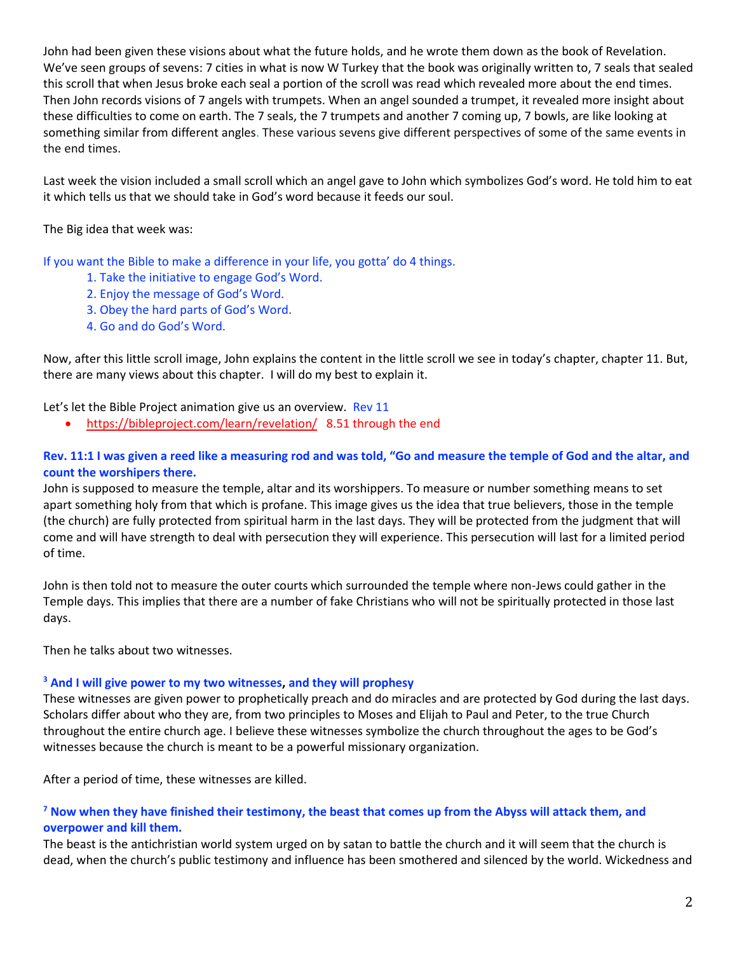John had been given these visions about what the future holds, and he wrote them down as the book of Revelation. We've seen groups of sevens: 7 cities in what is now W Turkey that the book was originally written to, 7 seals that sealed this scroll that when Jesus broke each seal a portion of the scroll was read which revealed more about the end times. Then John records visions of 7 angels with trumpets. When an angel sounded a trumpet, it revealed more insight about these difficulties to come on earth. The 7 seals, the 7 trumpets and another 7 coming up, 7 bowls, are like looking at something similar from different angles. These various sevens give different perspectives of some of the same events in the end times.

Last week the vision included a small scroll which an angel gave to John which symbolizes God's word. He told him to eat it which tells us that we should take in God's word because it feeds our soul.

The Big idea that week was:

If you want the Bible to make a difference in your life, you gotta' do 4 things.

- 1. Take the initiative to engage God's Word.
- 2. Enjoy the message of God's Word.
- 3. Obey the hard parts of God's Word.
- 4. Go and do God's Word.

Now, after this little scroll image, John explains the content in the little scroll we see in today's chapter, chapter 11. But, there are many views about this chapter. I will do my best to explain it.

Let's let the Bible Project animation give us an overview. Rev 11

• <https://bibleproject.com/learn/revelation/>8.51 through the end

### **Rev. 11:1 I was given a reed like a measuring rod and was told, "Go and measure the temple of God and the altar, and count the worshipers there.**

John is supposed to measure the temple, altar and its worshippers. To measure or number something means to set apart something holy from that which is profane. This image gives us the idea that true believers, those in the temple (the church) are fully protected from spiritual harm in the last days. They will be protected from the judgment that will come and will have strength to deal with persecution they will experience. This persecution will last for a limited period of time.

John is then told not to measure the outer courts which surrounded the temple where non-Jews could gather in the Temple days. This implies that there are a number of fake Christians who will not be spiritually protected in those last days.

Then he talks about two witnesses.

#### **<sup>3</sup> And I will give power to my two witnesses, and they will prophesy**

These witnesses are given power to prophetically preach and do miracles and are protected by God during the last days. Scholars differ about who they are, from two principles to Moses and Elijah to Paul and Peter, to the true Church throughout the entire church age. I believe these witnesses symbolize the church throughout the ages to be God's witnesses because the church is meant to be a powerful missionary organization.

After a period of time, these witnesses are killed.

### **<sup>7</sup> Now when they have finished their testimony, the beast that comes up from the Abyss will attack them, and overpower and kill them.**

The beast is the antichristian world system urged on by satan to battle the church and it will seem that the church is dead, when the church's public testimony and influence has been smothered and silenced by the world. Wickedness and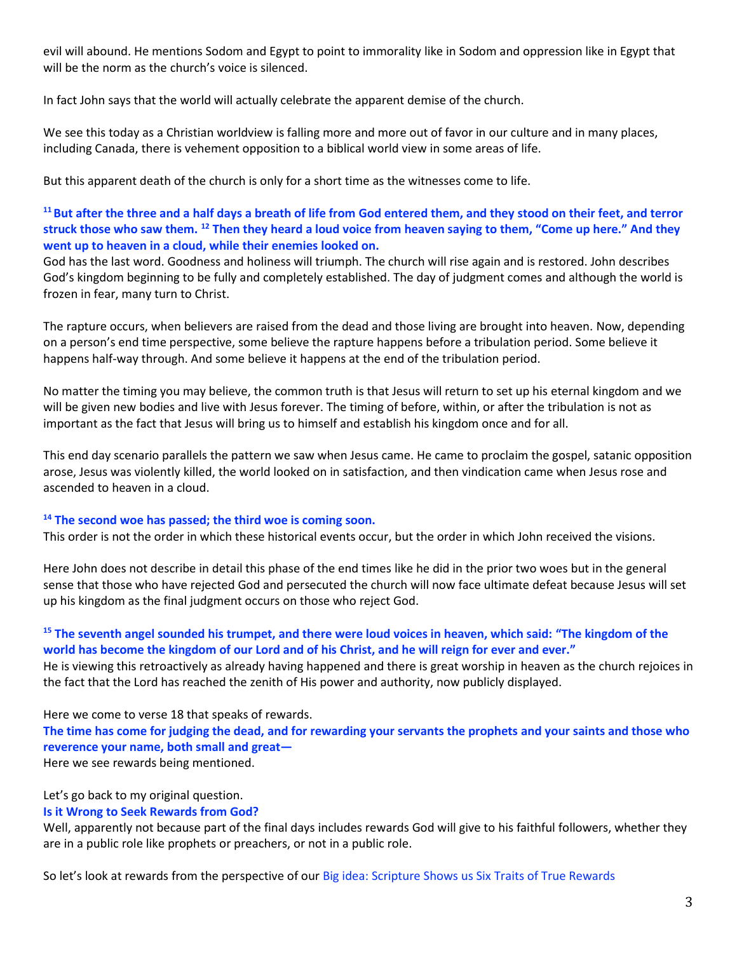evil will abound. He mentions Sodom and Egypt to point to immorality like in Sodom and oppression like in Egypt that will be the norm as the church's voice is silenced.

In fact John says that the world will actually celebrate the apparent demise of the church.

We see this today as a Christian worldview is falling more and more out of favor in our culture and in many places, including Canada, there is vehement opposition to a biblical world view in some areas of life.

But this apparent death of the church is only for a short time as the witnesses come to life.

### **<sup>11</sup>But after the three and a half days a breath of life from God entered them, and they stood on their feet, and terror struck those who saw them. <sup>12</sup> Then they heard a loud voice from heaven saying to them, "Come up here." And they went up to heaven in a cloud, while their enemies looked on.**

God has the last word. Goodness and holiness will triumph. The church will rise again and is restored. John describes God's kingdom beginning to be fully and completely established. The day of judgment comes and although the world is frozen in fear, many turn to Christ.

The rapture occurs, when believers are raised from the dead and those living are brought into heaven. Now, depending on a person's end time perspective, some believe the rapture happens before a tribulation period. Some believe it happens half-way through. And some believe it happens at the end of the tribulation period.

No matter the timing you may believe, the common truth is that Jesus will return to set up his eternal kingdom and we will be given new bodies and live with Jesus forever. The timing of before, within, or after the tribulation is not as important as the fact that Jesus will bring us to himself and establish his kingdom once and for all.

This end day scenario parallels the pattern we saw when Jesus came. He came to proclaim the gospel, satanic opposition arose, Jesus was violently killed, the world looked on in satisfaction, and then vindication came when Jesus rose and ascended to heaven in a cloud.

### **<sup>14</sup> The second woe has passed; the third woe is coming soon.**

This order is not the order in which these historical events occur, but the order in which John received the visions.

Here John does not describe in detail this phase of the end times like he did in the prior two woes but in the general sense that those who have rejected God and persecuted the church will now face ultimate defeat because Jesus will set up his kingdom as the final judgment occurs on those who reject God.

### **<sup>15</sup> The seventh angel sounded his trumpet, and there were loud voices in heaven, which said: "The kingdom of the world has become the kingdom of our Lord and of his Christ, and he will reign for ever and ever."**

He is viewing this retroactively as already having happened and there is great worship in heaven as the church rejoices in the fact that the Lord has reached the zenith of His power and authority, now publicly displayed.

Here we come to verse 18 that speaks of rewards.

**The time has come for judging the dead, and for rewarding your servants the prophets and your saints and those who reverence your name, both small and great—**

Here we see rewards being mentioned.

### Let's go back to my original question.

#### **Is it Wrong to Seek Rewards from God?**

Well, apparently not because part of the final days includes rewards God will give to his faithful followers, whether they are in a public role like prophets or preachers, or not in a public role.

So let's look at rewards from the perspective of our Big idea: Scripture Shows us Six Traits of True Rewards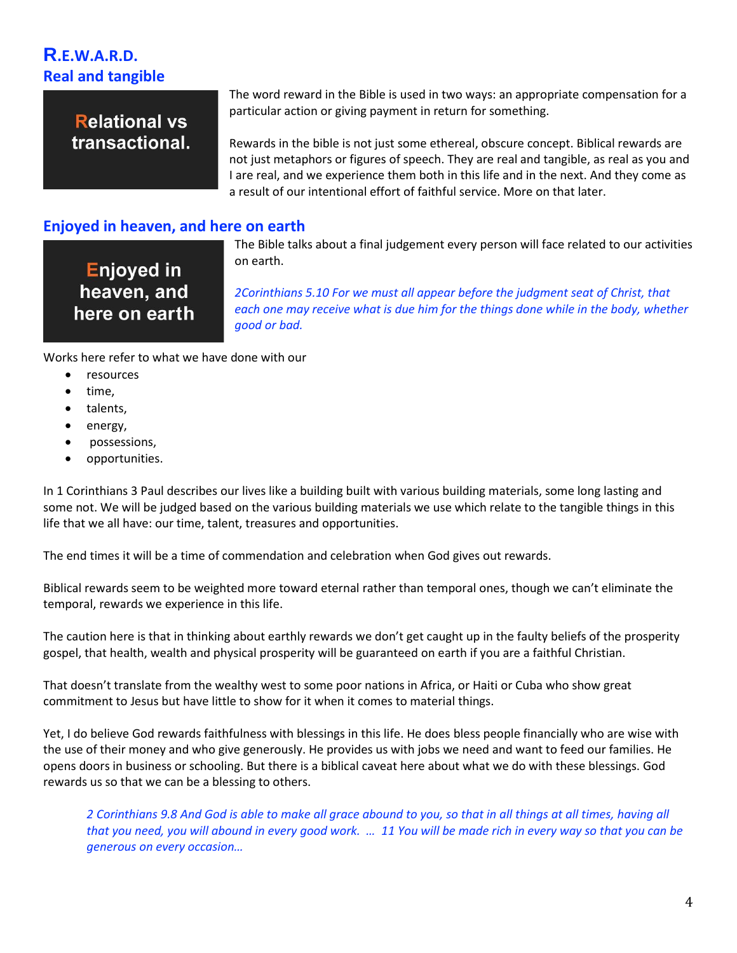# **R.E.W.A.R.D. Real and tangible**

**Relational vs** transactional. The word reward in the Bible is used in two ways: an appropriate compensation for a particular action or giving payment in return for something.

Rewards in the bible is not just some ethereal, obscure concept. Biblical rewards are not just metaphors or figures of speech. They are real and tangible, as real as you and I are real, and we experience them both in this life and in the next. And they come as a result of our intentional effort of faithful service. More on that later.

### **Enjoyed in heaven, and here on earth**

**Enjoyed in** heaven, and here on earth The Bible talks about a final judgement every person will face related to our activities on earth.

*2Corinthians 5.10 For we must all appear before the judgment seat of Christ, that*  each one may receive what is due him for the things done while in the body, whether *good or bad.*

Works here refer to what we have done with our

- resources
- time.
- talents,
- energy,
- possessions,
- opportunities.

In 1 Corinthians 3 Paul describes our lives like a building built with various building materials, some long lasting and some not. We will be judged based on the various building materials we use which relate to the tangible things in this life that we all have: our time, talent, treasures and opportunities.

The end times it will be a time of commendation and celebration when God gives out rewards.

Biblical rewards seem to be weighted more toward eternal rather than temporal ones, though we can't eliminate the temporal, rewards we experience in this life.

The caution here is that in thinking about earthly rewards we don't get caught up in the faulty beliefs of the prosperity gospel, that health, wealth and physical prosperity will be guaranteed on earth if you are a faithful Christian.

That doesn't translate from the wealthy west to some poor nations in Africa, or Haiti or Cuba who show great commitment to Jesus but have little to show for it when it comes to material things.

Yet, I do believe God rewards faithfulness with blessings in this life. He does bless people financially who are wise with the use of their money and who give generously. He provides us with jobs we need and want to feed our families. He opens doors in business or schooling. But there is a biblical caveat here about what we do with these blessings. God rewards us so that we can be a blessing to others.

*2 Corinthians 9.8 And God is able to make all grace abound to you, so that in all things at all times, having all that you need, you will abound in every good work. … 11 You will be made rich in every way so that you can be generous on every occasion…*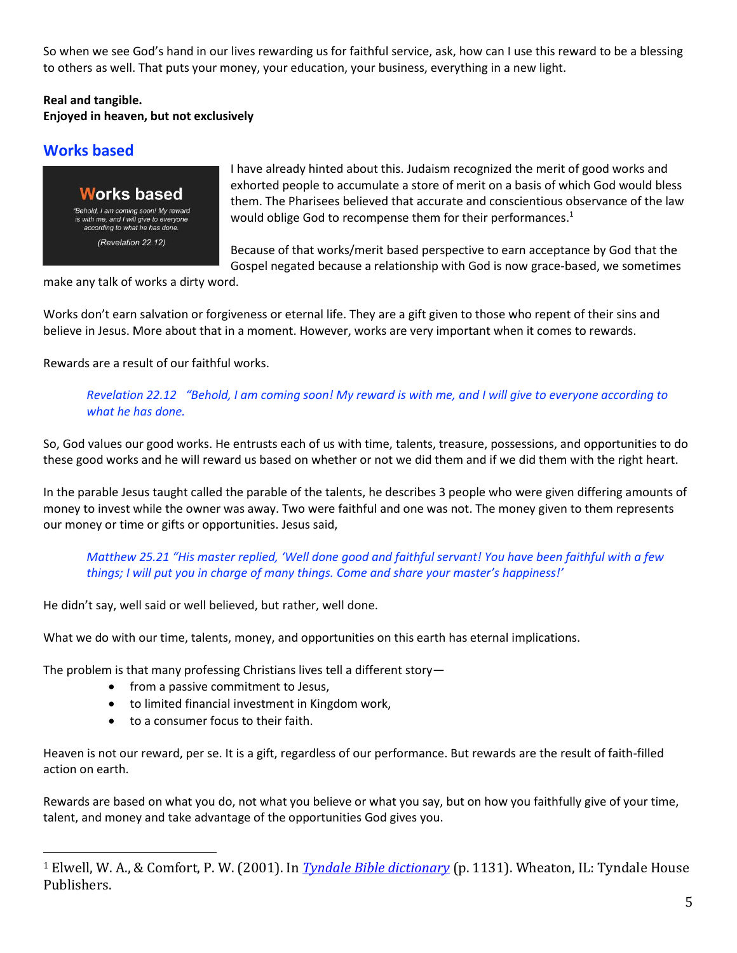So when we see God's hand in our lives rewarding us for faithful service, ask, how can I use this reward to be a blessing to others as well. That puts your money, your education, your business, everything in a new light.

### **Real and tangible.**

### **Enjoyed in heaven, but not exclusively**

## **Works based**

**Works based** "Behold, I am coming soon! My reward is with me, and I will give to everyone according to what he has done. (Revelation 22.12)

I have already hinted about this. Judaism recognized the merit of good works and exhorted people to accumulate a store of merit on a basis of which God would bless them. The Pharisees believed that accurate and conscientious observance of the law would oblige God to recompense them for their performances.<sup>1</sup>

Because of that works/merit based perspective to earn acceptance by God that the Gospel negated because a relationship with God is now grace-based, we sometimes

make any talk of works a dirty word.

Works don't earn salvation or forgiveness or eternal life. They are a gift given to those who repent of their sins and believe in Jesus. More about that in a moment. However, works are very important when it comes to rewards.

Rewards are a result of our faithful works.

*Revelation 22.12 "Behold, I am coming soon! My reward is with me, and I will give to everyone according to what he has done.*

So, God values our good works. He entrusts each of us with time, talents, treasure, possessions, and opportunities to do these good works and he will reward us based on whether or not we did them and if we did them with the right heart.

In the parable Jesus taught called the parable of the talents, he describes 3 people who were given differing amounts of money to invest while the owner was away. Two were faithful and one was not. The money given to them represents our money or time or gifts or opportunities. Jesus said,

*Matthew 25.21 "His master replied, 'Well done good and faithful servant! You have been faithful with a few things; I will put you in charge of many things. Come and share your master's happiness!'*

He didn't say, well said or well believed, but rather, well done.

What we do with our time, talents, money, and opportunities on this earth has eternal implications.

The problem is that many professing Christians lives tell a different story—

- from a passive commitment to Jesus,
- to limited financial investment in Kingdom work,
- to a consumer focus to their faith.

Heaven is not our reward, per se. It is a gift, regardless of our performance. But rewards are the result of faith-filled action on earth.

Rewards are based on what you do, not what you believe or what you say, but on how you faithfully give of your time, talent, and money and take advantage of the opportunities God gives you.

<sup>1</sup> Elwell, W. A., & Comfort, P. W. (2001). In *[Tyndale Bible dictionary](https://ref.ly/logosres/tynbibdct?ref=Page.p+1131&off=6331&ctx=ced+with+Roman+law.+~But+Judaism+had+no+h)* (p. 1131). Wheaton, IL: Tyndale House Publishers.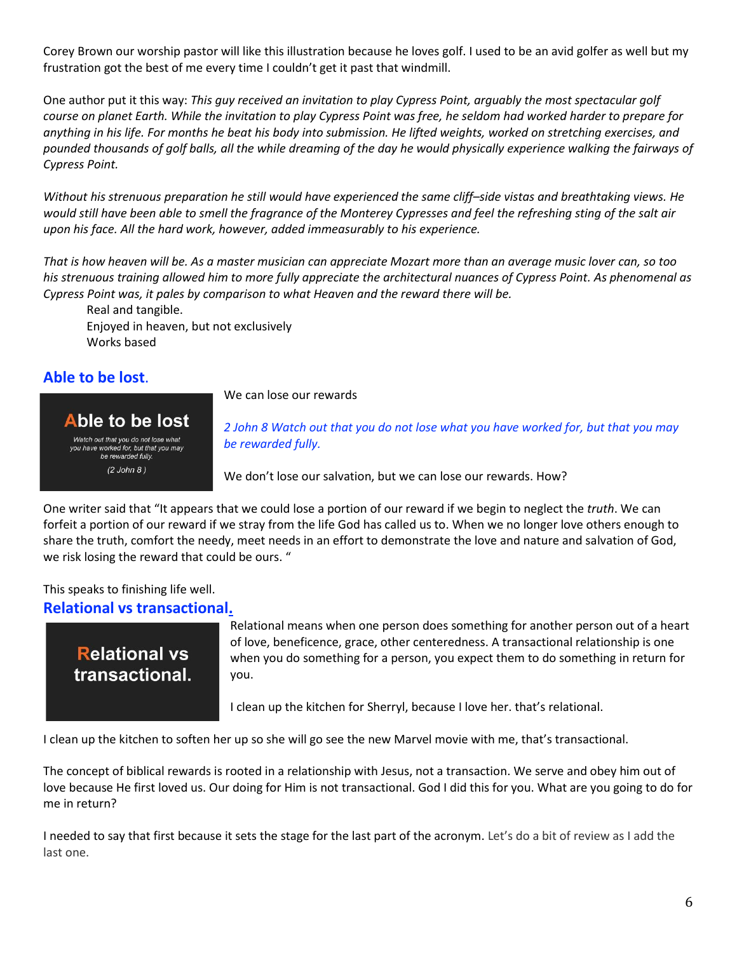Corey Brown our worship pastor will like this illustration because he loves golf. I used to be an avid golfer as well but my frustration got the best of me every time I couldn't get it past that windmill.

One author put it this way: *This guy received an invitation to play Cypress Point, arguably the most spectacular golf course on planet Earth. While the invitation to play Cypress Point was free, he seldom had worked harder to prepare for anything in his life. For months he beat his body into submission. He lifted weights, worked on stretching exercises, and pounded thousands of golf balls, all the while dreaming of the day he would physically experience walking the fairways of Cypress Point.* 

*Without his strenuous preparation he still would have experienced the same cliff–side vistas and breathtaking views. He would still have been able to smell the fragrance of the Monterey Cypresses and feel the refreshing sting of the salt air upon his face. All the hard work, however, added immeasurably to his experience.*

*That is how heaven will be. As a master musician can appreciate Mozart more than an average music lover can, so too his strenuous training allowed him to more fully appreciate the architectural nuances of Cypress Point. As phenomenal as Cypress Point was, it pales by comparison to what Heaven and the reward there will be.*

Real and tangible. Enjoyed in heaven, but not exclusively Works based

### **Able to be lost**.

We can lose our rewards

### Able to be lost

Watch out that you do not lose what you have worked for, but that you may be rewarded fully.  $(2$  John 8)

*2 John 8 Watch out that you do not lose what you have worked for, but that you may be rewarded fully.* 

We don't lose our salvation, but we can lose our rewards. How?

One writer said that "It appears that we could lose a portion of our reward if we begin to neglect the *truth*. We can forfeit a portion of our reward if we stray from the life God has called us to. When we no longer love others enough to share the truth, comfort the needy, meet needs in an effort to demonstrate the love and nature and salvation of God, we risk losing the reward that could be ours. "

### This speaks to finishing life well. **Relational vs transactional.**

# **Relational vs** transactional.

Relational means when one person does something for another person out of a heart of love, beneficence, grace, other centeredness. A transactional relationship is one when you do something for a person, you expect them to do something in return for you.

I clean up the kitchen for Sherryl, because I love her. that's relational.

I clean up the kitchen to soften her up so she will go see the new Marvel movie with me, that's transactional.

The concept of biblical rewards is rooted in a relationship with Jesus, not a transaction. We serve and obey him out of love because He first loved us. Our doing for Him is not transactional. God I did this for you. What are you going to do for me in return?

I needed to say that first because it sets the stage for the last part of the acronym. Let's do a bit of review as I add the last one.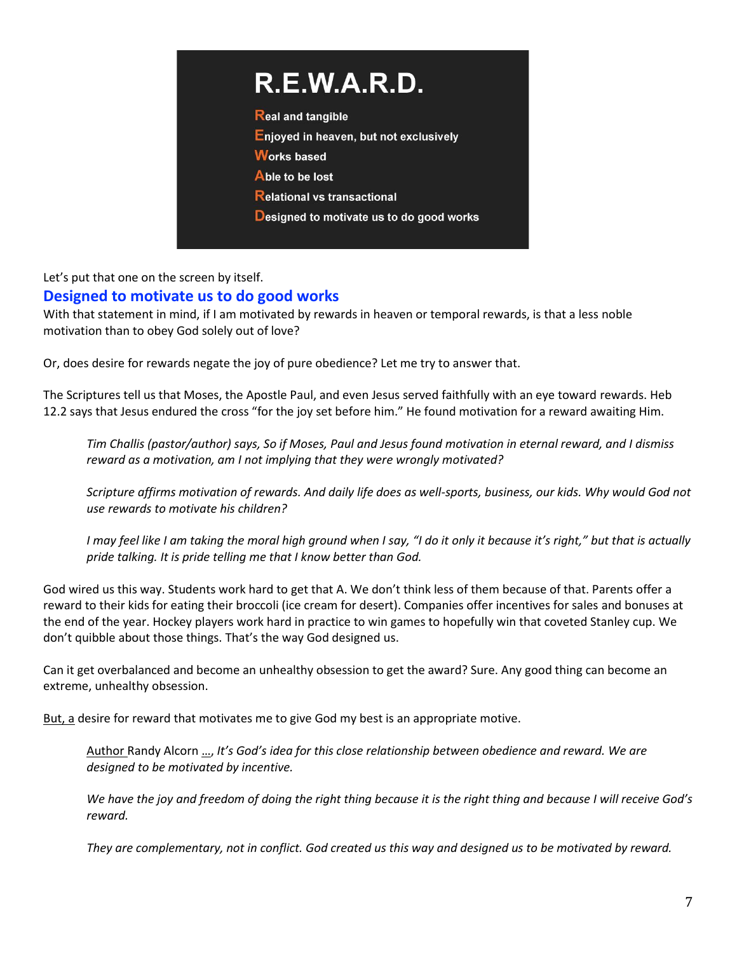# R.E.W.A.R.D.

**Real and tangible** 

Enjoyed in heaven, but not exclusively

**Works based** 

Able to be lost

**Relational vs transactional** 

**Designed to motivate us to do good works** 

Let's put that one on the screen by itself. **Designed to motivate us to do good works**

With that statement in mind, if I am motivated by rewards in heaven or temporal rewards, is that a less noble motivation than to obey God solely out of love?

Or, does desire for rewards negate the joy of pure obedience? Let me try to answer that.

The Scriptures tell us that Moses, the Apostle Paul, and even Jesus served faithfully with an eye toward rewards. Heb 12.2 says that Jesus endured the cross "for the joy set before him." He found motivation for a reward awaiting Him.

*Tim Challis (pastor/author) says, So if Moses, Paul and Jesus found motivation in eternal reward, and I dismiss reward as a motivation, am I not implying that they were wrongly motivated?*

*Scripture affirms motivation of rewards. And daily life does as well-sports, business, our kids. Why would God not use rewards to motivate his children?*

*I may feel like I am taking the moral high ground when I say, "I do it only it because it's right," but that is actually pride talking. It is pride telling me that I know better than God.* 

God wired us this way. Students work hard to get that A. We don't think less of them because of that. Parents offer a reward to their kids for eating their broccoli (ice cream for desert). Companies offer incentives for sales and bonuses at the end of the year. Hockey players work hard in practice to win games to hopefully win that coveted Stanley cup. We don't quibble about those things. That's the way God designed us.

Can it get overbalanced and become an unhealthy obsession to get the award? Sure. Any good thing can become an extreme, unhealthy obsession.

But, a desire for reward that motivates me to give God my best is an appropriate motive.

Author Randy Alcorn …, *It's God's idea for this close relationship between obedience and reward. We are designed to be motivated by incentive.* 

*We have the joy and freedom of doing the right thing because it is the right thing and because I will receive God's reward.* 

*They are complementary, not in conflict. God created us this way and designed us to be motivated by reward.*